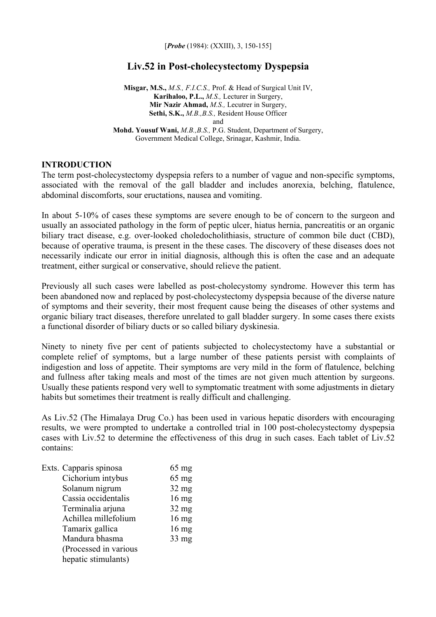[*Probe* (1984): (XXIII), 3, 150-155]

# **Liv.52 in Post-cholecystectomy Dyspepsia**

**Misgar, M.S.,** *M.S., F.I.C.S.,* Prof. & Head of Surgical Unit IV, **Karihaloo, P.L.,** *M.S.,* Lecturer in Surgery, **Mir Nazir Ahmad,** *M.S.,* Lecutrer in Surgery, **Sethi, S.K.,** *M.B.,B.S.,* Resident House Officer and **Mohd. Yousuf Wani,** *M.B.,B.S.,* P.G. Student, Department of Surgery, Government Medical College, Srinagar, Kashmir, India.

#### **INTRODUCTION**

The term post-cholecystectomy dyspepsia refers to a number of vague and non-specific symptoms, associated with the removal of the gall bladder and includes anorexia, belching, flatulence, abdominal discomforts, sour eructations, nausea and vomiting.

In about 5-10% of cases these symptoms are severe enough to be of concern to the surgeon and usually an associated pathology in the form of peptic ulcer, hiatus hernia, pancreatitis or an organic biliary tract disease, e.g. over-looked choledocholithiasis, structure of common bile duct (CBD), because of operative trauma, is present in the these cases. The discovery of these diseases does not necessarily indicate our error in initial diagnosis, although this is often the case and an adequate treatment, either surgical or conservative, should relieve the patient.

Previously all such cases were labelled as post-cholecystomy syndrome. However this term has been abandoned now and replaced by post-cholecystectomy dyspepsia because of the diverse nature of symptoms and their severity, their most frequent cause being the diseases of other systems and organic biliary tract diseases, therefore unrelated to gall bladder surgery. In some cases there exists a functional disorder of biliary ducts or so called biliary dyskinesia.

Ninety to ninety five per cent of patients subjected to cholecystectomy have a substantial or complete relief of symptoms, but a large number of these patients persist with complaints of indigestion and loss of appetite. Their symptoms are very mild in the form of flatulence, belching and fullness after taking meals and most of the times are not given much attention by surgeons. Usually these patients respond very well to symptomatic treatment with some adjustments in dietary habits but sometimes their treatment is really difficult and challenging.

As Liv.52 (The Himalaya Drug Co.) has been used in various hepatic disorders with encouraging results, we were prompted to undertake a controlled trial in 100 post-cholecystectomy dyspepsia cases with Liv.52 to determine the effectiveness of this drug in such cases. Each tablet of Liv.52 contains:

| Exts. Capparis spinosa | $65 \text{ mg}$ |
|------------------------|-----------------|
| Cichorium intybus      | $65 \text{ mg}$ |
| Solanum nigrum         | $32 \text{ mg}$ |
| Cassia occidentalis    | $16$ mg         |
| Terminalia arjuna      | $32$ mg         |
| Achillea millefolium   | $16 \text{ mg}$ |
| Tamarix gallica        | $16 \text{ mg}$ |
| Mandura bhasma         | $33 \text{ mg}$ |
| (Processed in various  |                 |
| hepatic stimulants)    |                 |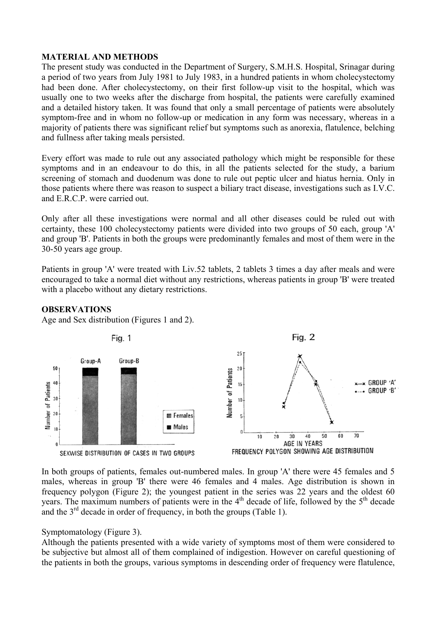# **MATERIAL AND METHODS**

The present study was conducted in the Department of Surgery, S.M.H.S. Hospital, Srinagar during a period of two years from July 1981 to July 1983, in a hundred patients in whom cholecystectomy had been done. After cholecystectomy, on their first follow-up visit to the hospital, which was usually one to two weeks after the discharge from hospital, the patients were carefully examined and a detailed history taken. It was found that only a small percentage of patients were absolutely symptom-free and in whom no follow-up or medication in any form was necessary, whereas in a majority of patients there was significant relief but symptoms such as anorexia, flatulence, belching and fullness after taking meals persisted.

Every effort was made to rule out any associated pathology which might be responsible for these symptoms and in an endeavour to do this, in all the patients selected for the study, a barium screening of stomach and duodenum was done to rule out peptic ulcer and hiatus hernia. Only in those patients where there was reason to suspect a biliary tract disease, investigations such as I.V.C. and E.R.C.P. were carried out.

Only after all these investigations were normal and all other diseases could be ruled out with certainty, these 100 cholecystectomy patients were divided into two groups of 50 each, group 'A' and group 'B'. Patients in both the groups were predominantly females and most of them were in the 30-50 years age group.

Patients in group 'A' were treated with Liv.52 tablets, 2 tablets 3 times a day after meals and were encouraged to take a normal diet without any restrictions, whereas patients in group 'B' were treated with a placebo without any dietary restrictions.

# **OBSERVATIONS**

Age and Sex distribution (Figures 1 and 2).



In both groups of patients, females out-numbered males. In group 'A' there were 45 females and 5 males, whereas in group 'B' there were 46 females and 4 males. Age distribution is shown in frequency polygon (Figure 2); the youngest patient in the series was 22 years and the oldest 60 years. The maximum numbers of patients were in the  $4<sup>th</sup>$  decade of life, followed by the  $5<sup>th</sup>$  decade and the  $3<sup>rd</sup>$  decade in order of frequency, in both the groups (Table 1).

# Symptomatology (Figure 3).

Although the patients presented with a wide variety of symptoms most of them were considered to be subjective but almost all of them complained of indigestion. However on careful questioning of the patients in both the groups, various symptoms in descending order of frequency were flatulence,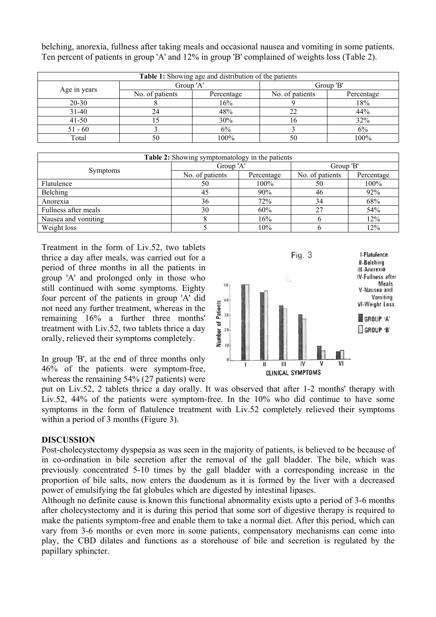belching, anorexia, fullness after taking meals and occasional nausea and vomiting in some patients. Ten percent of patients in group 'A' and 12% in group 'B' complained of weights loss (Table 2).

| Table 1: Showing age and distribution of the patients |                 |            |                 |            |  |  |  |
|-------------------------------------------------------|-----------------|------------|-----------------|------------|--|--|--|
|                                                       | Group 'A'       |            | Group 'B'       |            |  |  |  |
| Age in years                                          | No. of patients | Percentage | No. of patients | Percentage |  |  |  |
| $20 - 30$                                             |                 | 16%        |                 | 18%        |  |  |  |
| $31 - 40$                                             | 24              | 48%        |                 | 44%        |  |  |  |
| $41 - 50$                                             |                 | 30%        |                 | 32%        |  |  |  |
| $51 - 60$                                             |                 | 6%         |                 | 6%         |  |  |  |
| Total                                                 | 50              | 100%       |                 | 100%       |  |  |  |

| <b>Table 2:</b> Showing symptomatology in the patients |                 |            |                 |            |  |  |  |  |
|--------------------------------------------------------|-----------------|------------|-----------------|------------|--|--|--|--|
|                                                        | Group 'A'       |            | Group 'B'       |            |  |  |  |  |
| <b>Symptoms</b>                                        | No. of patients | Percentage | No. of patients | Percentage |  |  |  |  |
| Flatulence                                             | 50              | $100\%$    | 50              | $100\%$    |  |  |  |  |
| Belching                                               | 45              | 90%        | 46              | 92%        |  |  |  |  |
| Anorexia                                               | 36              | 72%        | 34              | 68%        |  |  |  |  |
| Fullness after meals                                   | 30              | 60%        | 27              | 54%        |  |  |  |  |
| Nausea and vomiting                                    |                 | 16%        |                 | 12%        |  |  |  |  |
| Weight loss                                            |                 | 10%        | O               | 12%        |  |  |  |  |

Treatment in the form of Liv.52, two tablets thrice a day after meals, was carried out for a period of three months in all the patients in group 'A' and prolonged only in those who still continued with some symptoms. Eighty four percent of the patients in group 'A' did not need any further treatment, whereas in the remaining 16% a further three months' treatment with Liv.52, two tablets thrice a day orally, relieved their symptoms completely.

In group 'B', at the end of three months only 46% of the patients were symptom-free, whereas the remaining 54% (27 patients) were



put on Liv.52, 2 tablets thrice a day orally. It was observed that after 1-2 months' therapy with Liv.52, 44% of the patients were symptom-free. In the 10% who did continue to have some symptoms in the form of flatulence treatment with Liv.52 completely relieved their symptoms within a period of 3 months (Figure 3).

# **DISCUSSION**

Post-cholecystectomy dyspepsia as was seen in the majority of patients, is believed to be because of in co-ordination in bile secretion after the removal of the gall bladder. The bile, which was previously concentrated 5-10 times by the gall bladder with a corresponding increase in the proportion of bile salts, now enters the duodenum as it is formed by the liver with a decreased power of emulsifying the fat globules which are digested by intestinal lipases.

Although no definite cause is known this functional abnormality exists upto a period of 3-6 months after cholecystectomy and it is during this period that some sort of digestive therapy is required to make the patients symptom-free and enable them to take a normal diet. After this period, which can vary from 3-6 months or even more in some patients, compensatory mechanisms can come into play, the CBD dilates and functions as a storehouse of bile and secretion is regulated by the papillary sphincter.